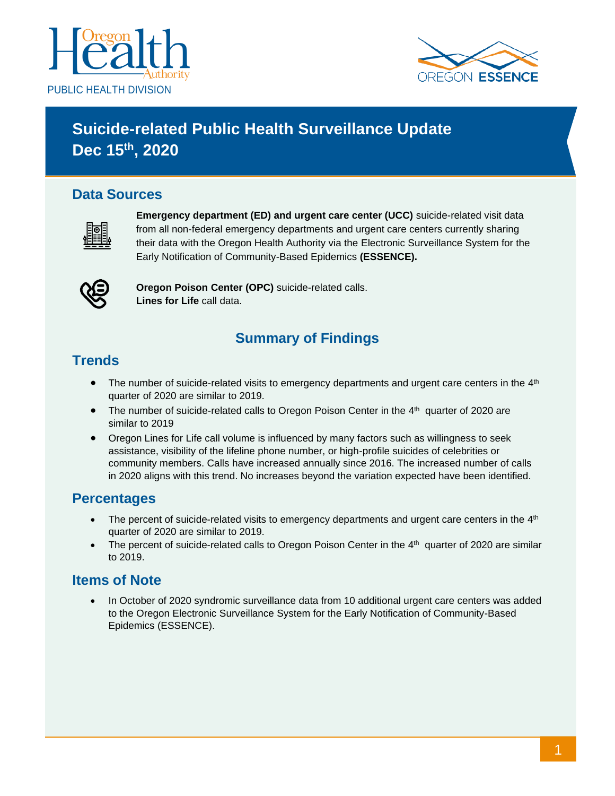



# **Suicide-related Public Health Surveillance Update Dec 15th, 2020**

### **Data Sources**



**Emergency department (ED) and urgent care center (UCC)** suicide-related visit data from all non-federal emergency departments and urgent care centers currently sharing their data with the Oregon Health Authority via the Electronic Surveillance System for the Early Notification of Community-Based Epidemics **(ESSENCE).**



**Oregon Poison Center (OPC)** suicide-related calls. **Lines for Life** call data.

# **Summary of Findings**

### **Trends**

- The number of suicide-related visits to emergency departments and urgent care centers in the 4<sup>th</sup> quarter of 2020 are similar to 2019.
- The number of suicide-related calls to Oregon Poison Center in the 4<sup>th</sup> quarter of 2020 are similar to 2019
- Oregon Lines for Life call volume is influenced by many factors such as willingness to seek assistance, visibility of the lifeline phone number, or high-profile suicides of celebrities or community members. Calls have increased annually since 2016. The increased number of calls in 2020 aligns with this trend. No increases beyond the variation expected have been identified.

### **Percentages**

- The percent of suicide-related visits to emergency departments and urgent care centers in the  $4<sup>th</sup>$ quarter of 2020 are similar to 2019.
- The percent of suicide-related calls to Oregon Poison Center in the  $4<sup>th</sup>$  quarter of 2020 are similar to 2019.

### **Items of Note**

• In October of 2020 syndromic surveillance data from 10 additional urgent care centers was added to the Oregon Electronic Surveillance System for the Early Notification of Community-Based Epidemics (ESSENCE).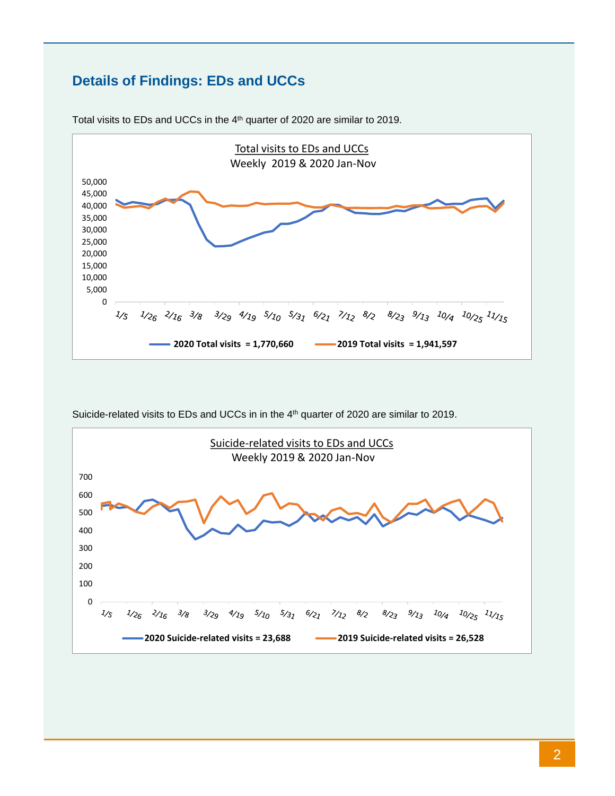# **Details of Findings: EDs and UCCs**



Total visits to EDs and UCCs in the 4<sup>th</sup> quarter of 2020 are similar to 2019.

Suicide-related visits to EDs and UCCs in in the  $4<sup>th</sup>$  quarter of 2020 are similar to 2019.

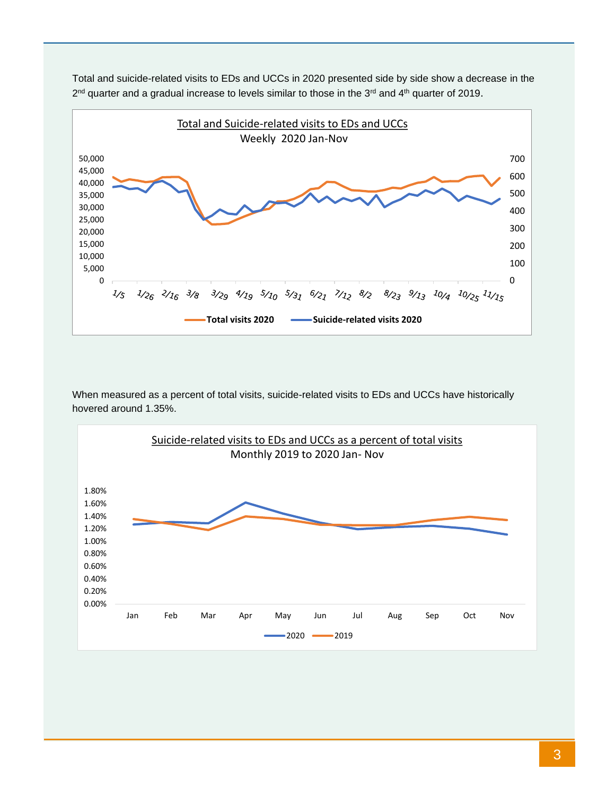

Total and suicide-related visits to EDs and UCCs in 2020 presented side by side show a decrease in the 2<sup>nd</sup> quarter and a gradual increase to levels similar to those in the 3<sup>rd</sup> and 4<sup>th</sup> quarter of 2019.

When measured as a percent of total visits, suicide-related visits to EDs and UCCs have historically hovered around 1.35%.

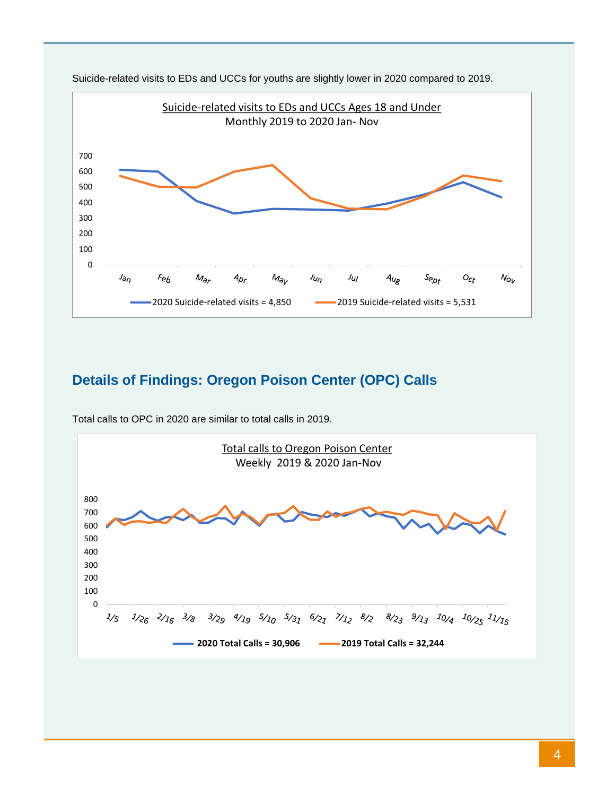

Suicide-related visits to EDs and UCCs for youths are slightly lower in 2020 compared to 2019.

# **Details of Findings: Oregon Poison Center (OPC) Calls**



Total calls to OPC in 2020 are similar to total calls in 2019.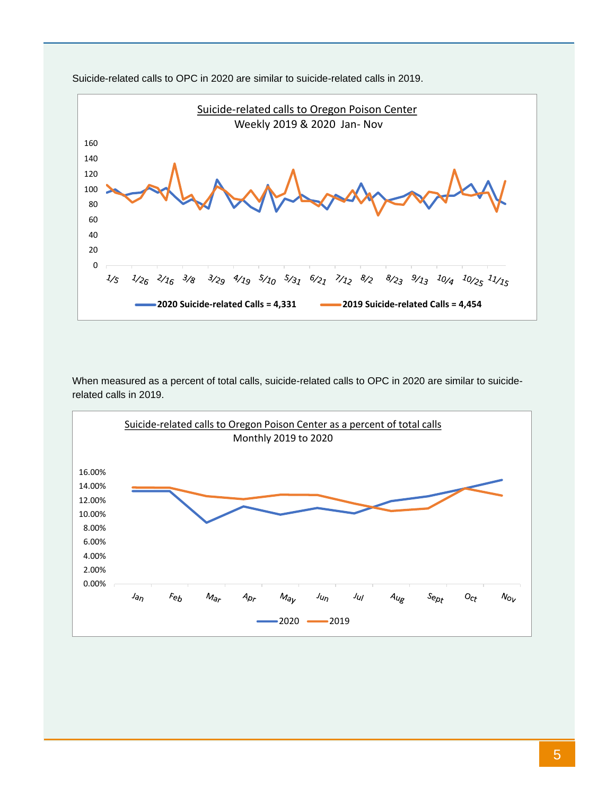

Suicide-related calls to OPC in 2020 are similar to suicide-related calls in 2019.

When measured as a percent of total calls, suicide-related calls to OPC in 2020 are similar to suiciderelated calls in 2019.

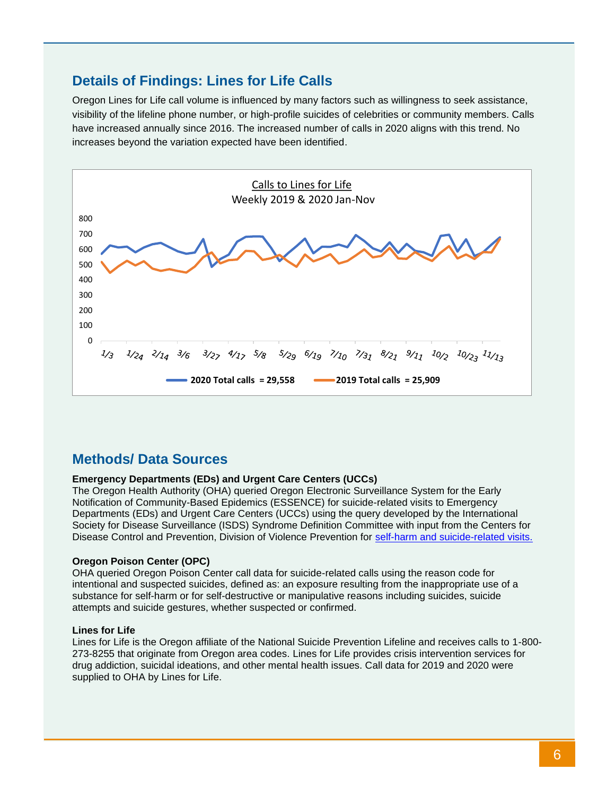### **Details of Findings: Lines for Life Calls**

Oregon Lines for Life call volume is influenced by many factors such as willingness to seek assistance, visibility of the lifeline phone number, or high-profile suicides of celebrities or community members. Calls have increased annually since 2016. The increased number of calls in 2020 aligns with this trend. No increases beyond the variation expected have been identified.



### **Methods/ Data Sources**

#### **Emergency Departments (EDs) and Urgent Care Centers (UCCs)**

The Oregon Health Authority (OHA) queried Oregon Electronic Surveillance System for the Early Notification of Community-Based Epidemics (ESSENCE) for suicide-related visits to Emergency Departments (EDs) and Urgent Care Centers (UCCs) using the query developed by the International Society for Disease Surveillance (ISDS) Syndrome Definition Committee with input from the Centers for Disease Control and Prevention, Division of Violence Prevention for [self-harm and suicide-related visits.](https://knowledgerepository.syndromicsurveillance.org/self-harm-and-suicide-related-syndrome-definition-committee)

#### **Oregon Poison Center (OPC)**

OHA queried Oregon Poison Center call data for suicide-related calls using the reason code for intentional and suspected suicides, defined as: an exposure resulting from the inappropriate use of a substance for self-harm or for self-destructive or manipulative reasons including suicides, suicide attempts and suicide gestures, whether suspected or confirmed.

#### **Lines for Life**

Lines for Life is the Oregon affiliate of the National Suicide Prevention Lifeline and receives calls to 1-800- 273-8255 that originate from Oregon area codes. Lines for Life provides crisis intervention services for drug addiction, suicidal ideations, and other mental health issues. Call data for 2019 and 2020 were supplied to OHA by Lines for Life.